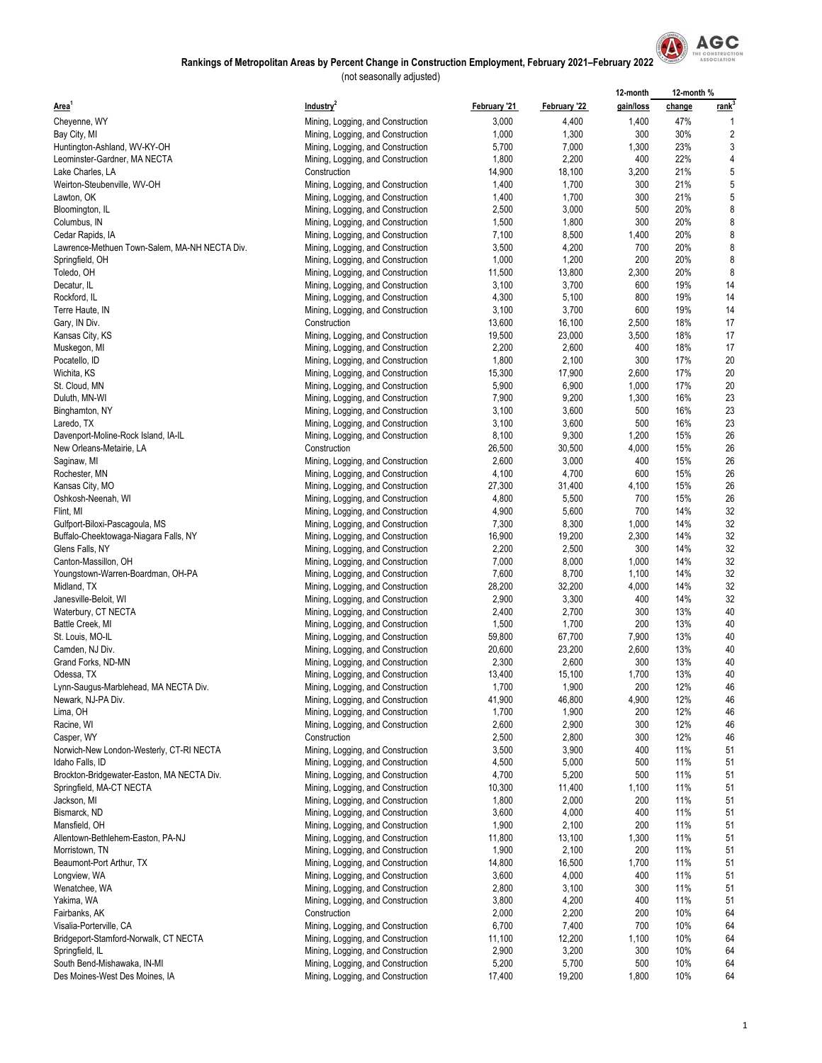

|                                               |                                   |              |              | 12-month  | 12-month % |                   |
|-----------------------------------------------|-----------------------------------|--------------|--------------|-----------|------------|-------------------|
| Area <sup>1</sup>                             | Industry <sup>2</sup>             | February '21 | February '22 | gain/loss | change     | rank <sup>3</sup> |
| Cheyenne, WY                                  | Mining, Logging, and Construction | 3,000        | 4,400        | 1,400     | 47%        |                   |
| Bay City, MI                                  | Mining, Logging, and Construction | 1,000        | 1,300        | 300       | 30%        | 2                 |
| Huntington-Ashland, WV-KY-OH                  | Mining, Logging, and Construction | 5,700        | 7,000        | 1,300     | 23%        | 3                 |
|                                               |                                   |              |              | 400       | 22%        | 4                 |
| Leominster-Gardner, MA NECTA                  | Mining, Logging, and Construction | 1,800        | 2,200        |           |            |                   |
| Lake Charles, LA                              | Construction                      | 14,900       | 18,100       | 3,200     | 21%        | 5                 |
| Weirton-Steubenville, WV-OH                   | Mining, Logging, and Construction | 1,400        | 1,700        | 300       | 21%        | 5                 |
| Lawton, OK                                    | Mining, Logging, and Construction | 1,400        | 1,700        | 300       | 21%        | 5                 |
| Bloomington, IL                               | Mining, Logging, and Construction | 2,500        | 3,000        | 500       | 20%        | 8                 |
| Columbus, IN                                  | Mining, Logging, and Construction | 1,500        | 1,800        | 300       | 20%        | 8                 |
| Cedar Rapids, IA                              | Mining, Logging, and Construction | 7,100        | 8,500        | 1,400     | 20%        | 8                 |
| Lawrence-Methuen Town-Salem, MA-NH NECTA Div. | Mining, Logging, and Construction | 3,500        | 4,200        | 700       | 20%        | 8                 |
| Springfield, OH                               | Mining, Logging, and Construction | 1,000        | 1,200        | 200       | 20%        | 8                 |
| Toledo, OH                                    | Mining, Logging, and Construction | 11,500       | 13,800       | 2,300     | 20%        | 8                 |
| Decatur, IL                                   | Mining, Logging, and Construction | 3,100        | 3,700        | 600       | 19%        | 14                |
| Rockford, IL                                  | Mining, Logging, and Construction | 4,300        | 5,100        | 800       | 19%        | 14                |
| Terre Haute, IN                               | Mining, Logging, and Construction | 3,100        | 3,700        | 600       | 19%        | 14                |
|                                               | Construction                      | 13,600       | 16,100       | 2,500     | 18%        | 17                |
| Gary, IN Div.                                 |                                   |              |              |           |            |                   |
| Kansas City, KS                               | Mining, Logging, and Construction | 19,500       | 23,000       | 3,500     | 18%        | 17                |
| Muskegon, MI                                  | Mining, Logging, and Construction | 2,200        | 2,600        | 400       | 18%        | 17                |
| Pocatello, ID                                 | Mining, Logging, and Construction | 1,800        | 2,100        | 300       | 17%        | 20                |
| Wichita, KS                                   | Mining, Logging, and Construction | 15,300       | 17,900       | 2,600     | 17%        | 20                |
| St. Cloud, MN                                 | Mining, Logging, and Construction | 5,900        | 6,900        | 1,000     | 17%        | 20                |
| Duluth, MN-WI                                 | Mining, Logging, and Construction | 7,900        | 9,200        | 1,300     | 16%        | 23                |
| Binghamton, NY                                | Mining, Logging, and Construction | 3,100        | 3,600        | 500       | 16%        | 23                |
| Laredo, TX                                    | Mining, Logging, and Construction | 3,100        | 3,600        | 500       | 16%        | 23                |
| Davenport-Moline-Rock Island, IA-IL           | Mining, Logging, and Construction | 8,100        | 9,300        | 1,200     | 15%        | 26                |
| New Orleans-Metairie, LA                      | Construction                      | 26,500       | 30,500       | 4,000     | 15%        | 26                |
| Saginaw, MI                                   | Mining, Logging, and Construction | 2,600        | 3,000        | 400       | 15%        | 26                |
| Rochester, MN                                 | Mining, Logging, and Construction | 4,100        | 4,700        | 600       | 15%        | 26                |
|                                               |                                   | 27,300       | 31,400       | 4,100     | 15%        | 26                |
| Kansas City, MO                               | Mining, Logging, and Construction |              |              |           |            |                   |
| Oshkosh-Neenah, WI                            | Mining, Logging, and Construction | 4,800        | 5,500        | 700       | 15%        | 26                |
| Flint, MI                                     | Mining, Logging, and Construction | 4,900        | 5,600        | 700       | 14%        | 32                |
| Gulfport-Biloxi-Pascagoula, MS                | Mining, Logging, and Construction | 7,300        | 8,300        | 1,000     | 14%        | 32                |
| Buffalo-Cheektowaga-Niagara Falls, NY         | Mining, Logging, and Construction | 16,900       | 19,200       | 2,300     | 14%        | 32                |
| Glens Falls, NY                               | Mining, Logging, and Construction | 2,200        | 2,500        | 300       | 14%        | 32                |
| Canton-Massillon, OH                          | Mining, Logging, and Construction | 7,000        | 8,000        | 1,000     | 14%        | 32                |
| Youngstown-Warren-Boardman, OH-PA             | Mining, Logging, and Construction | 7,600        | 8,700        | 1,100     | 14%        | 32                |
| Midland, TX                                   | Mining, Logging, and Construction | 28,200       | 32,200       | 4,000     | 14%        | 32                |
| Janesville-Beloit, WI                         | Mining, Logging, and Construction | 2,900        | 3,300        | 400       | 14%        | 32                |
| Waterbury, CT NECTA                           | Mining, Logging, and Construction | 2,400        | 2,700        | 300       | 13%        | 40                |
| Battle Creek, MI                              | Mining, Logging, and Construction | 1,500        | 1,700        | 200       | 13%        | 40                |
| St. Louis, MO-IL                              | Mining, Logging, and Construction | 59,800       | 67,700       | 7,900     | 13%        | 40                |
| Camden, NJ Div.                               | Mining, Logging, and Construction | 20,600       | 23,200       | 2,600     | 13%        | 40                |
| Grand Forks, ND-MN                            | Mining, Logging, and Construction | 2,300        | 2,600        | 300       | 13%        | 40                |
|                                               |                                   |              |              | 1,700     | 13%        | 40                |
| Odessa, TX                                    | Mining, Logging, and Construction | 13,400       | 15,100       |           |            |                   |
| Lynn-Saugus-Marblehead, MA NECTA Div.         | Mining, Logging, and Construction | 1,700        | 1,900        | 200       | 12%        | 46                |
| Newark, NJ-PA Div.                            | Mining, Logging, and Construction | 41,900       | 46,800       | 4,900     | 12%        | 46                |
| Lima, OH                                      | Mining, Logging, and Construction | 1,700        | 1,900        | 200       | 12%        | 46                |
| Racine, WI                                    | Mining, Logging, and Construction | 2,600        | 2,900        | 300       | 12%        | 46                |
| Casper, WY                                    | Construction                      | 2,500        | 2,800        | 300       | 12%        | 46                |
| Norwich-New London-Westerly, CT-RI NECTA      | Mining, Logging, and Construction | 3,500        | 3,900        | 400       | 11%        | 51                |
| Idaho Falls, ID                               | Mining, Logging, and Construction | 4,500        | 5,000        | 500       | 11%        | 51                |
| Brockton-Bridgewater-Easton, MA NECTA Div.    | Mining, Logging, and Construction | 4,700        | 5,200        | 500       | 11%        | 51                |
| Springfield, MA-CT NECTA                      | Mining, Logging, and Construction | 10,300       | 11,400       | 1,100     | 11%        | 51                |
| Jackson, MI                                   | Mining, Logging, and Construction | 1,800        | 2,000        | 200       | 11%        | 51                |
| Bismarck, ND                                  | Mining, Logging, and Construction | 3,600        | 4,000        | 400       | 11%        | 51                |
| Mansfield, OH                                 | Mining, Logging, and Construction | 1,900        | 2,100        | 200       | 11%        | 51                |
| Allentown-Bethlehem-Easton, PA-NJ             | Mining, Logging, and Construction | 11,800       | 13,100       | 1,300     | 11%        | 51                |
| Morristown, TN                                | Mining, Logging, and Construction | 1,900        | 2,100        | 200       | 11%        | 51                |
| Beaumont-Port Arthur, TX                      | Mining, Logging, and Construction | 14,800       | 16,500       | 1,700     | 11%        | 51                |
|                                               |                                   |              |              |           |            |                   |
| Longview, WA                                  | Mining, Logging, and Construction | 3,600        | 4,000        | 400       | 11%        | 51                |
| Wenatchee, WA                                 | Mining, Logging, and Construction | 2,800        | 3,100        | 300       | 11%        | 51                |
| Yakima, WA                                    | Mining, Logging, and Construction | 3,800        | 4,200        | 400       | 11%        | 51                |
| Fairbanks, AK                                 | Construction                      | 2,000        | 2,200        | 200       | 10%        | 64                |
| Visalia-Porterville, CA                       | Mining, Logging, and Construction | 6,700        | 7,400        | 700       | 10%        | 64                |
| Bridgeport-Stamford-Norwalk, CT NECTA         | Mining, Logging, and Construction | 11,100       | 12,200       | 1,100     | 10%        | 64                |
| Springfield, IL                               | Mining, Logging, and Construction | 2,900        | 3,200        | 300       | 10%        | 64                |
| South Bend-Mishawaka, IN-MI                   | Mining, Logging, and Construction | 5,200        | 5,700        | 500       | 10%        | 64                |
| Des Moines-West Des Moines, IA                | Mining, Logging, and Construction | 17,400       | 19,200       | 1,800     | 10%        | 64                |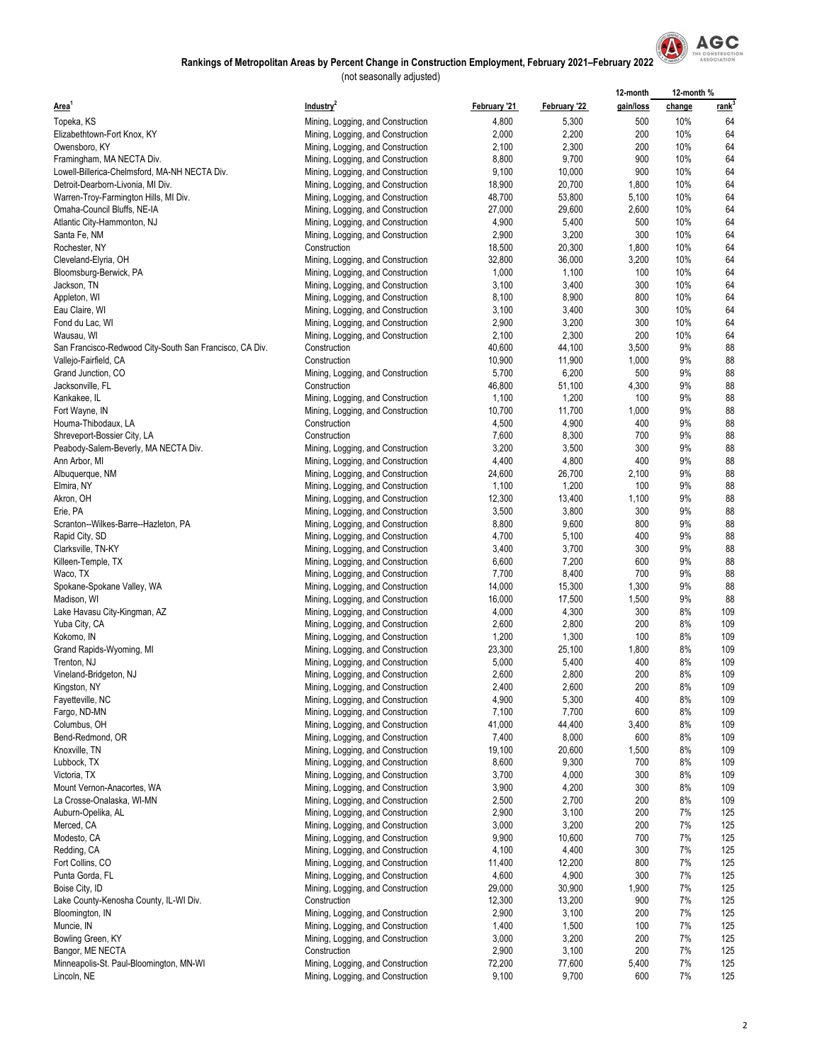

|                                                         |                                                                        |                 |                 | 12-month     | 12-month % |             |
|---------------------------------------------------------|------------------------------------------------------------------------|-----------------|-----------------|--------------|------------|-------------|
| Area <sup>1</sup>                                       | Industry <sup>2</sup>                                                  | February '21    | February '22    | gain/loss    | change     | <u>rank</u> |
| Topeka, KS                                              | Mining, Logging, and Construction                                      | 4,800           | 5,300           | 500          | 10%        | 64          |
| Elizabethtown-Fort Knox, KY                             | Mining, Logging, and Construction                                      | 2,000           | 2,200           | 200          | 10%        | 64          |
| Owensboro, KY                                           | Mining, Logging, and Construction                                      | 2,100           | 2,300           | 200          | 10%        | 64          |
| Framingham, MA NECTA Div.                               | Mining, Logging, and Construction                                      | 8,800           | 9,700           | 900          | 10%        | 64          |
| Lowell-Billerica-Chelmsford, MA-NH NECTA Div.           | Mining, Logging, and Construction                                      | 9,100           | 10,000          | 900          | 10%        | 64          |
| Detroit-Dearborn-Livonia, MI Div.                       | Mining, Logging, and Construction                                      | 18,900          | 20,700          | 1,800        | 10%        | 64          |
| Warren-Troy-Farmington Hills, MI Div.                   | Mining, Logging, and Construction                                      | 48,700          | 53,800          | 5,100        | 10%        | 64          |
| Omaha-Council Bluffs, NE-IA                             | Mining, Logging, and Construction                                      | 27,000          | 29,600          | 2,600        | 10%        | 64          |
| Atlantic City-Hammonton, NJ                             | Mining, Logging, and Construction                                      | 4,900           | 5,400           | 500          | 10%        | 64          |
| Santa Fe, NM                                            | Mining, Logging, and Construction                                      | 2,900           | 3,200           | 300          | 10%<br>10% | 64          |
| Rochester, NY                                           | Construction                                                           | 18,500          | 20,300          | 1,800        | 10%        | 64<br>64    |
| Cleveland-Elyria, OH<br>Bloomsburg-Berwick, PA          | Mining, Logging, and Construction                                      | 32,800<br>1,000 | 36,000<br>1,100 | 3,200<br>100 | 10%        | 64          |
| Jackson, TN                                             | Mining, Logging, and Construction<br>Mining, Logging, and Construction | 3,100           | 3,400           | 300          | 10%        | 64          |
| Appleton, WI                                            | Mining, Logging, and Construction                                      | 8,100           | 8,900           | 800          | 10%        | 64          |
| Eau Claire, WI                                          | Mining, Logging, and Construction                                      | 3,100           | 3,400           | 300          | 10%        | 64          |
| Fond du Lac, WI                                         | Mining, Logging, and Construction                                      | 2,900           | 3,200           | 300          | 10%        | 64          |
| Wausau, WI                                              | Mining, Logging, and Construction                                      | 2,100           | 2,300           | 200          | 10%        | 64          |
| San Francisco-Redwood City-South San Francisco, CA Div. | Construction                                                           | 40,600          | 44,100          | 3,500        | 9%         | 88          |
| Vallejo-Fairfield, CA                                   | Construction                                                           | 10,900          | 11,900          | 1,000        | 9%         | 88          |
| Grand Junction, CO                                      | Mining, Logging, and Construction                                      | 5,700           | 6,200           | 500          | 9%         | 88          |
| Jacksonville, FL                                        | Construction                                                           | 46,800          | 51,100          | 4,300        | 9%         | 88          |
| Kankakee, IL                                            | Mining, Logging, and Construction                                      | 1,100           | 1,200           | 100          | 9%         | 88          |
| Fort Wayne, IN                                          | Mining, Logging, and Construction                                      | 10,700          | 11,700          | 1,000        | 9%         | 88          |
| Houma-Thibodaux, LA                                     | Construction                                                           | 4,500           | 4,900           | 400          | 9%         | 88          |
| Shreveport-Bossier City, LA                             | Construction                                                           | 7,600           | 8,300           | 700          | 9%         | 88          |
| Peabody-Salem-Beverly, MA NECTA Div.                    | Mining, Logging, and Construction                                      | 3,200           | 3,500           | 300          | 9%         | 88          |
| Ann Arbor, MI                                           | Mining, Logging, and Construction                                      | 4,400           | 4,800           | 400          | 9%         | 88          |
| Albuquerque, NM                                         | Mining, Logging, and Construction                                      | 24,600          | 26,700          | 2,100        | 9%         | 88          |
| Elmira, NY                                              | Mining, Logging, and Construction                                      | 1,100           | 1,200           | 100          | 9%         | 88          |
| Akron, OH                                               | Mining, Logging, and Construction                                      | 12,300          | 13,400          | 1,100        | 9%         | 88          |
| Erie, PA                                                | Mining, Logging, and Construction                                      | 3,500           | 3,800           | 300          | 9%         | 88          |
| Scranton--Wilkes-Barre--Hazleton, PA                    | Mining, Logging, and Construction                                      | 8,800           | 9,600           | 800          | 9%         | 88          |
| Rapid City, SD                                          | Mining, Logging, and Construction                                      | 4,700           | 5,100           | 400          | 9%         | 88          |
| Clarksville, TN-KY                                      | Mining, Logging, and Construction                                      | 3,400           | 3,700           | 300<br>600   | 9%<br>9%   | 88<br>88    |
| Killeen-Temple, TX<br>Waco, TX                          | Mining, Logging, and Construction                                      | 6,600<br>7,700  | 7,200<br>8,400  | 700          | 9%         | 88          |
| Spokane-Spokane Valley, WA                              | Mining, Logging, and Construction<br>Mining, Logging, and Construction | 14,000          | 15,300          | 1,300        | 9%         | 88          |
| Madison, WI                                             | Mining, Logging, and Construction                                      | 16,000          | 17,500          | 1,500        | 9%         | 88          |
| Lake Havasu City-Kingman, AZ                            | Mining, Logging, and Construction                                      | 4,000           | 4,300           | 300          | 8%         | 109         |
| Yuba City, CA                                           | Mining, Logging, and Construction                                      | 2,600           | 2,800           | 200          | 8%         | 109         |
| Kokomo, IN                                              | Mining, Logging, and Construction                                      | 1,200           | 1,300           | 100          | 8%         | 109         |
| Grand Rapids-Wyoming, MI                                | Mining, Logging, and Construction                                      | 23,300          | 25,100          | 1,800        | 8%         | 109         |
| Trenton, NJ                                             | Mining, Logging, and Construction                                      | 5,000           | 5,400           | 400          | 8%         | 109         |
| Vineland-Bridgeton, NJ                                  | Mining, Logging, and Construction                                      | 2,600           | 2,800           | 200          | 8%         | 109         |
| Kingston, NY                                            | Mining, Logging, and Construction                                      | 2,400           | 2,600           | 200          | 8%         | 109         |
| Fayetteville, NC                                        | Mining, Logging, and Construction                                      | 4,900           | 5,300           | 400          | 8%         | 109         |
| Fargo, ND-MN                                            | Mining, Logging, and Construction                                      | 7,100           | 7,700           | 600          | 8%         | 109         |
| Columbus, OH                                            | Mining, Logging, and Construction                                      | 41,000          | 44,400          | 3,400        | 8%         | 109         |
| Bend-Redmond, OR                                        | Mining, Logging, and Construction                                      | 7,400           | 8,000           | 600          | 8%         | 109         |
| Knoxville, TN                                           | Mining, Logging, and Construction                                      | 19,100          | 20,600          | 1,500        | 8%         | 109         |
| Lubbock, TX                                             | Mining, Logging, and Construction                                      | 8,600           | 9,300           | 700          | 8%         | 109         |
| Victoria, TX                                            | Mining, Logging, and Construction                                      | 3,700           | 4,000           | 300          | 8%         | 109         |
| Mount Vernon-Anacortes, WA                              | Mining, Logging, and Construction                                      | 3,900           | 4,200           | 300          | 8%         | 109         |
| La Crosse-Onalaska, WI-MN                               | Mining, Logging, and Construction                                      | 2,500           | 2,700           | 200          | 8%         | 109         |
| Auburn-Opelika, AL                                      | Mining, Logging, and Construction                                      | 2,900           | 3,100           | 200          | 7%         | 125         |
| Merced, CA                                              | Mining, Logging, and Construction<br>Mining, Logging, and Construction | 3,000           | 3,200           | 200          | 7%<br>7%   | 125<br>125  |
| Modesto, CA                                             |                                                                        | 9,900           | 10,600          | 700          | 7%         |             |
| Redding, CA<br>Fort Collins, CO                         | Mining, Logging, and Construction<br>Mining, Logging, and Construction | 4,100<br>11,400 | 4,400<br>12,200 | 300<br>800   | 7%         | 125<br>125  |
| Punta Gorda, FL                                         |                                                                        | 4,600           | 4,900           | 300          | 7%         | 125         |
| Boise City, ID                                          | Mining, Logging, and Construction<br>Mining, Logging, and Construction | 29,000          | 30,900          | 1,900        | 7%         | 125         |
| Lake County-Kenosha County, IL-WI Div.                  | Construction                                                           | 12,300          | 13,200          | 900          | 7%         | 125         |
| Bloomington, IN                                         | Mining, Logging, and Construction                                      | 2,900           | 3,100           | 200          | 7%         | 125         |
| Muncie, IN                                              | Mining, Logging, and Construction                                      | 1,400           | 1,500           | 100          | 7%         | 125         |
| Bowling Green, KY                                       | Mining, Logging, and Construction                                      | 3,000           | 3,200           | 200          | 7%         | 125         |
| Bangor, ME NECTA                                        | Construction                                                           | 2,900           | 3,100           | 200          | 7%         | 125         |
| Minneapolis-St. Paul-Bloomington, MN-WI                 | Mining, Logging, and Construction                                      | 72,200          | 77,600          | 5,400        | 7%         | 125         |
| Lincoln, NE                                             | Mining, Logging, and Construction                                      | 9,100           | 9,700           | 600          | 7%         | 125         |
|                                                         |                                                                        |                 |                 |              |            |             |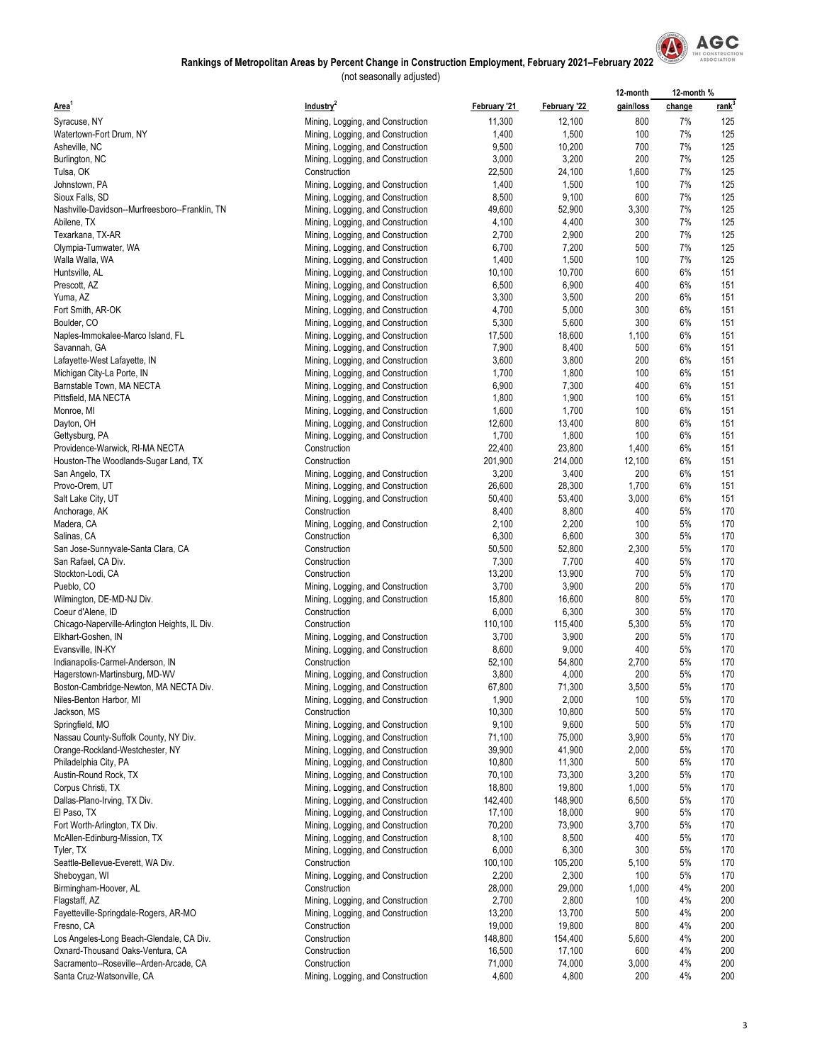

|                                                                   |                                                                        |                |                | 12-month   | 12-month % |             |
|-------------------------------------------------------------------|------------------------------------------------------------------------|----------------|----------------|------------|------------|-------------|
| Area <sup>1</sup>                                                 | Industry <sup>2</sup>                                                  | February '21   | February '22   | gain/loss  | change     | <u>rank</u> |
| Syracuse, NY                                                      | Mining, Logging, and Construction                                      | 11,300         | 12,100         | 800        | 7%         | 125         |
| Watertown-Fort Drum, NY                                           | Mining, Logging, and Construction                                      | 1,400          | 1,500          | 100        | 7%         | 125         |
| Asheville, NC                                                     | Mining, Logging, and Construction                                      | 9,500          | 10,200         | 700        | 7%         | 125         |
| Burlington, NC                                                    | Mining, Logging, and Construction                                      | 3,000          | 3,200          | 200        | 7%         | 125         |
| Tulsa, OK                                                         | Construction                                                           | 22,500         | 24,100         | 1,600      | 7%         | 125         |
| Johnstown, PA                                                     | Mining, Logging, and Construction                                      | 1,400          | 1,500          | 100        | 7%         | 125         |
| Sioux Falls, SD                                                   | Mining, Logging, and Construction                                      | 8,500          | 9,100          | 600        | 7%         | 125         |
| Nashville-Davidson--Murfreesboro--Franklin, TN                    | Mining, Logging, and Construction                                      | 49,600         | 52,900         | 3,300      | 7%         | 125         |
| Abilene, TX                                                       | Mining, Logging, and Construction                                      | 4,100          | 4,400          | 300        | 7%         | 125         |
| Texarkana, TX-AR                                                  | Mining, Logging, and Construction                                      | 2,700          | 2,900          | 200        | 7%         | 125         |
| Olympia-Tumwater, WA                                              | Mining, Logging, and Construction                                      | 6,700          | 7,200          | 500        | 7%         | 125         |
| Walla Walla, WA                                                   | Mining, Logging, and Construction                                      | 1,400          | 1,500          | 100        | 7%         | 125         |
| Huntsville, AL                                                    | Mining, Logging, and Construction                                      | 10,100         | 10,700         | 600        | 6%         | 151         |
| Prescott, AZ                                                      | Mining, Logging, and Construction                                      | 6,500          | 6,900          | 400        | 6%         | 151         |
| Yuma, AZ                                                          | Mining, Logging, and Construction                                      | 3,300          | 3,500          | 200        | 6%         | 151         |
| Fort Smith, AR-OK                                                 | Mining, Logging, and Construction                                      | 4,700          | 5,000          | 300        | 6%         | 151         |
| Boulder, CO                                                       | Mining, Logging, and Construction                                      | 5,300          | 5,600          | 300        | 6%         | 151         |
| Naples-Immokalee-Marco Island, FL                                 | Mining, Logging, and Construction                                      | 17,500         | 18,600         | 1,100      | 6%         | 151         |
| Savannah, GA                                                      | Mining, Logging, and Construction                                      | 7,900          | 8,400          | 500        | 6%         | 151         |
| Lafayette-West Lafayette, IN                                      | Mining, Logging, and Construction                                      | 3,600          | 3,800          | 200        | 6%         | 151         |
| Michigan City-La Porte, IN                                        | Mining, Logging, and Construction                                      | 1,700          | 1,800          | 100        | 6%         | 151         |
| Barnstable Town, MA NECTA                                         | Mining, Logging, and Construction                                      | 6,900          | 7,300          | 400        | 6%         | 151         |
| Pittsfield, MA NECTA                                              | Mining, Logging, and Construction                                      | 1,800          | 1,900          | 100        | 6%         | 151         |
| Monroe, MI                                                        | Mining, Logging, and Construction                                      | 1,600          | 1,700          | 100        | 6%         | 151         |
| Dayton, OH                                                        | Mining, Logging, and Construction                                      | 12,600         | 13,400         | 800        | 6%         | 151         |
| Gettysburg, PA                                                    | Mining, Logging, and Construction                                      | 1,700          | 1,800          | 100        | 6%         | 151         |
| Providence-Warwick, RI-MA NECTA                                   | Construction                                                           | 22,400         | 23,800         | 1,400      | 6%         | 151         |
| Houston-The Woodlands-Sugar Land, TX                              | Construction                                                           | 201,900        | 214,000        | 12,100     | 6%         | 151         |
| San Angelo, TX                                                    | Mining, Logging, and Construction                                      | 3,200          | 3,400          | 200        | 6%         | 151         |
| Provo-Orem, UT                                                    | Mining, Logging, and Construction                                      | 26,600         | 28,300         | 1,700      | 6%         | 151         |
| Salt Lake City, UT                                                | Mining, Logging, and Construction                                      | 50,400         | 53,400         | 3,000      | 6%         | 151         |
| Anchorage, AK                                                     | Construction                                                           | 8,400          | 8,800          | 400        | 5%         | 170         |
| Madera, CA                                                        | Mining, Logging, and Construction                                      | 2,100          | 2,200          | 100        | 5%         | 170         |
| Salinas, CA                                                       | Construction                                                           | 6,300          | 6,600          | 300        | 5%         | 170         |
| San Jose-Sunnyvale-Santa Clara, CA                                | Construction                                                           | 50,500         | 52,800         | 2,300      | 5%         | 170         |
| San Rafael, CA Div.                                               | Construction                                                           | 7,300          | 7,700          | 400        | 5%         | 170         |
| Stockton-Lodi, CA                                                 | Construction                                                           | 13,200         | 13,900         | 700        | 5%         | 170         |
| Pueblo, CO                                                        | Mining, Logging, and Construction                                      | 3,700          | 3,900          | 200        | 5%         | 170         |
| Wilmington, DE-MD-NJ Div.                                         | Mining, Logging, and Construction                                      | 15,800         | 16,600         | 800        | 5%<br>5%   | 170         |
| Coeur d'Alene, ID                                                 | Construction                                                           | 6,000          | 6,300          | 300        | 5%         | 170         |
| Chicago-Naperville-Arlington Heights, IL Div.                     | Construction                                                           | 110,100        | 115,400        | 5,300      |            | 170<br>170  |
| Elkhart-Goshen, IN                                                | Mining, Logging, and Construction<br>Mining, Logging, and Construction | 3,700<br>8,600 | 3,900<br>9,000 | 200<br>400 | 5%<br>5%   | 170         |
| Evansville, IN-KY                                                 | Construction                                                           | 52,100         | 54,800         | 2,700      | 5%         | 170         |
| Indianapolis-Carmel-Anderson, IN<br>Hagerstown-Martinsburg, MD-WV |                                                                        | 3,800          | 4,000          | 200        | 5%         | 170         |
| Boston-Cambridge-Newton, MA NECTA Div.                            | Mining, Logging, and Construction<br>Mining, Logging, and Construction | 67,800         | 71,300         | 3,500      | 5%         | 170         |
| Niles-Benton Harbor, MI                                           | Mining, Logging, and Construction                                      | 1,900          | 2,000          | 100        | 5%         | 170         |
| Jackson, MS                                                       | Construction                                                           | 10,300         | 10,800         | 500        | 5%         | 170         |
| Springfield, MO                                                   | Mining, Logging, and Construction                                      | 9,100          | 9,600          | 500        | 5%         | 170         |
| Nassau County-Suffolk County, NY Div.                             | Mining, Logging, and Construction                                      | 71,100         | 75,000         | 3,900      | 5%         | 170         |
| Orange-Rockland-Westchester, NY                                   | Mining, Logging, and Construction                                      | 39,900         | 41,900         | 2,000      | 5%         | 170         |
| Philadelphia City, PA                                             | Mining, Logging, and Construction                                      | 10,800         | 11,300         | 500        | 5%         | 170         |
| Austin-Round Rock, TX                                             | Mining, Logging, and Construction                                      | 70,100         | 73,300         | 3,200      | 5%         | 170         |
| Corpus Christi, TX                                                | Mining, Logging, and Construction                                      | 18,800         | 19,800         | 1,000      | 5%         | 170         |
| Dallas-Plano-Irving, TX Div.                                      | Mining, Logging, and Construction                                      | 142,400        | 148,900        | 6,500      | 5%         | 170         |
| El Paso, TX                                                       | Mining, Logging, and Construction                                      | 17,100         | 18,000         | 900        | 5%         | 170         |
| Fort Worth-Arlington, TX Div.                                     | Mining, Logging, and Construction                                      | 70,200         | 73,900         | 3,700      | 5%         | 170         |
| McAllen-Edinburg-Mission, TX                                      | Mining, Logging, and Construction                                      | 8,100          | 8,500          | 400        | 5%         | 170         |
| Tyler, TX                                                         | Mining, Logging, and Construction                                      | 6,000          | 6,300          | 300        | 5%         | 170         |
| Seattle-Bellevue-Everett, WA Div.                                 | Construction                                                           | 100,100        | 105,200        | 5,100      | 5%         | 170         |
| Sheboygan, WI                                                     | Mining, Logging, and Construction                                      | 2,200          | 2,300          | 100        | 5%         | 170         |
| Birmingham-Hoover, AL                                             | Construction                                                           | 28,000         | 29,000         | 1,000      | 4%         | 200         |
| Flagstaff, AZ                                                     | Mining, Logging, and Construction                                      | 2,700          | 2,800          | 100        | 4%         | 200         |
| Fayetteville-Springdale-Rogers, AR-MO                             | Mining, Logging, and Construction                                      | 13,200         | 13,700         | 500        | 4%         | 200         |
| Fresno, CA                                                        | Construction                                                           | 19,000         | 19,800         | 800        | 4%         | 200         |
| Los Angeles-Long Beach-Glendale, CA Div.                          | Construction                                                           | 148,800        | 154,400        | 5,600      | 4%         | 200         |
| Oxnard-Thousand Oaks-Ventura, CA                                  | Construction                                                           | 16,500         | 17,100         | 600        | 4%         | 200         |
| Sacramento--Roseville--Arden-Arcade, CA                           | Construction                                                           | 71,000         | 74,000         | 3,000      | 4%         | 200         |
| Santa Cruz-Watsonville, CA                                        | Mining, Logging, and Construction                                      | 4,600          | 4,800          | 200        | 4%         | 200         |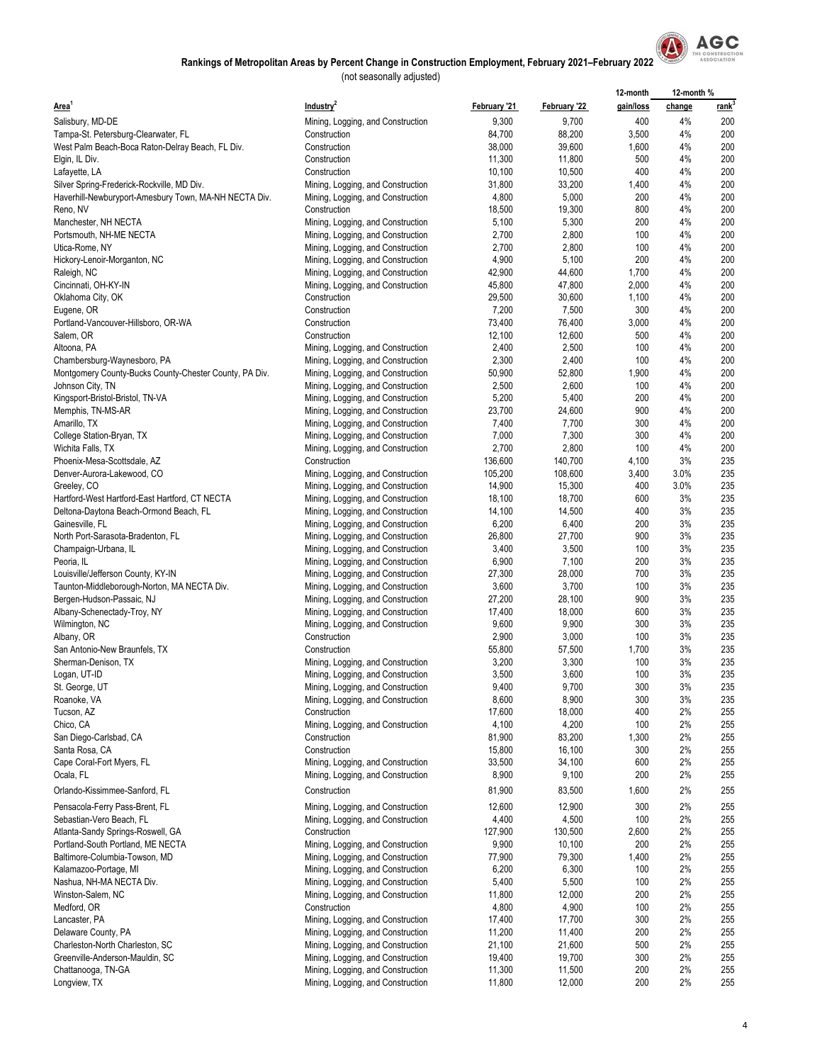

|                                                        |                                                   |                 |                  | 12-month     | 12-month % |             |
|--------------------------------------------------------|---------------------------------------------------|-----------------|------------------|--------------|------------|-------------|
| Area <sup>1</sup>                                      | Industry <sup>2</sup>                             | February '21    | February '22     | gain/loss    | change     | <u>rank</u> |
| Salisbury, MD-DE                                       | Mining, Logging, and Construction                 | 9,300           | 9,700            | 400          | 4%         | 200         |
| Tampa-St. Petersburg-Clearwater, FL                    | Construction                                      | 84,700          | 88,200           | 3,500        | 4%         | 200         |
| West Palm Beach-Boca Raton-Delray Beach, FL Div.       | Construction                                      | 38,000          | 39,600           | 1,600        | 4%         | 200         |
| Elgin, IL Div.                                         | Construction                                      | 11,300          | 11,800           | 500          | 4%         | 200         |
| Lafayette, LA                                          | Construction                                      | 10,100          | 10,500           | 400          | 4%         | 200         |
| Silver Spring-Frederick-Rockville, MD Div.             | Mining, Logging, and Construction                 | 31,800          | 33,200           | 1,400        | 4%         | 200         |
| Haverhill-Newburyport-Amesbury Town, MA-NH NECTA Div.  | Mining, Logging, and Construction                 | 4,800           | 5,000            | 200          | 4%         | 200         |
| Reno, NV                                               | Construction                                      | 18,500          | 19,300           | 800          | 4%         | 200         |
| Manchester, NH NECTA                                   | Mining, Logging, and Construction                 | 5,100           | 5,300            | 200          | 4%         | 200         |
| Portsmouth, NH-ME NECTA                                | Mining, Logging, and Construction                 | 2,700           | 2,800            | 100          | 4%         | 200         |
| Utica-Rome, NY                                         | Mining, Logging, and Construction                 | 2,700           | 2,800            | 100          | 4%         | 200         |
| Hickory-Lenoir-Morganton, NC                           | Mining, Logging, and Construction                 | 4,900           | 5,100            | 200          | 4%         | 200         |
| Raleigh, NC                                            | Mining, Logging, and Construction                 | 42,900          | 44,600           | 1,700        | 4%         | 200         |
| Cincinnati, OH-KY-IN                                   | Mining, Logging, and Construction                 | 45,800          | 47,800           | 2,000        | 4%         | 200         |
| Oklahoma City, OK                                      | Construction                                      | 29,500          | 30,600           | 1,100        | 4%         | 200         |
| Eugene, OR                                             | Construction                                      | 7,200           | 7,500            | 300          | 4%         | 200         |
| Portland-Vancouver-Hillsboro, OR-WA                    | Construction                                      | 73,400          | 76,400           | 3,000        | 4%         | 200         |
| Salem, OR                                              | Construction                                      | 12,100          | 12,600           | 500          | 4%         | 200         |
| Altoona, PA                                            | Mining, Logging, and Construction                 | 2,400           | 2,500            | 100          | 4%         | 200         |
| Chambersburg-Waynesboro, PA                            | Mining, Logging, and Construction                 | 2,300           | 2,400            | 100          | 4%         | 200         |
| Montgomery County-Bucks County-Chester County, PA Div. | Mining, Logging, and Construction                 | 50,900          | 52,800           | 1,900        | 4%         | 200         |
| Johnson City, TN                                       | Mining, Logging, and Construction                 | 2,500           | 2,600            | 100          | 4%         | 200         |
| Kingsport-Bristol-Bristol, TN-VA                       | Mining, Logging, and Construction                 | 5,200           | 5,400            | 200          | 4%         | 200         |
| Memphis, TN-MS-AR                                      | Mining, Logging, and Construction                 | 23,700          | 24,600           | 900          | 4%         | 200         |
| Amarillo, TX                                           | Mining, Logging, and Construction                 | 7,400           | 7,700            | 300          | 4%         | 200         |
| College Station-Bryan, TX                              | Mining, Logging, and Construction                 | 7,000           | 7,300            | 300          | 4%         | 200         |
| Wichita Falls, TX                                      | Mining, Logging, and Construction                 | 2,700           | 2,800            | 100          | 4%         | 200         |
| Phoenix-Mesa-Scottsdale, AZ                            | Construction                                      | 136,600         | 140,700          | 4,100        | 3%         | 235         |
| Denver-Aurora-Lakewood, CO                             | Mining, Logging, and Construction                 | 105,200         | 108,600          | 3,400        | 3.0%       | 235         |
| Greeley, CO                                            | Mining, Logging, and Construction                 | 14,900          | 15,300           | 400          | 3.0%       | 235         |
| Hartford-West Hartford-East Hartford, CT NECTA         | Mining, Logging, and Construction                 | 18,100          | 18,700           | 600          | 3%         | 235         |
| Deltona-Daytona Beach-Ormond Beach, FL                 | Mining, Logging, and Construction                 | 14,100          | 14,500           | 400          | 3%         | 235         |
| Gainesville, FL                                        | Mining, Logging, and Construction                 | 6,200           | 6,400            | 200          | 3%         | 235         |
| North Port-Sarasota-Bradenton, FL                      | Mining, Logging, and Construction                 | 26,800          | 27,700           | 900          | 3%         | 235         |
| Champaign-Urbana, IL                                   | Mining, Logging, and Construction                 | 3,400           | 3,500            | 100          | 3%         | 235         |
| Peoria, IL                                             | Mining, Logging, and Construction                 | 6,900           | 7,100            | 200          | 3%         | 235         |
| Louisville/Jefferson County, KY-IN                     | Mining, Logging, and Construction                 | 27,300          | 28,000           | 700          | 3%         | 235         |
| Taunton-Middleborough-Norton, MA NECTA Div.            | Mining, Logging, and Construction                 | 3,600           | 3,700            | 100          | 3%         | 235         |
| Bergen-Hudson-Passaic, NJ                              | Mining, Logging, and Construction                 | 27,200          | 28,100           | 900          | 3%         | 235         |
| Albany-Schenectady-Troy, NY                            | Mining, Logging, and Construction                 | 17,400          | 18,000           | 600          | 3%         | 235         |
| Wilmington, NC                                         | Mining, Logging, and Construction                 | 9,600           | 9,900            | 300          | 3%         | 235         |
| Albany, OR                                             | Construction                                      | 2,900           | 3,000            | 100          | 3%         | 235         |
| San Antonio-New Braunfels, TX                          | Construction                                      | 55,800          | 57,500           | 1,700        | 3%         | 235         |
| Sherman-Denison, TX                                    | Mining, Logging, and Construction                 | 3,200           | 3,300            | 100          | 3%         | 235         |
| Logan, UT-ID                                           | Mining, Logging, and Construction                 | 3,500           | 3,600            | 100          | 3%         | 235         |
| St. George, UT                                         | Mining, Logging, and Construction                 | 9,400           | 9,700            | 300          | 3%         | 235         |
| Roanoke, VA                                            | Mining, Logging, and Construction                 | 8,600           | 8,900            | 300          | 3%         | 235         |
| Tucson, AZ                                             | Construction                                      | 17,600          | 18,000           | 400          | 2%<br>2%   | 255         |
| Chico, CA<br>San Diego-Carlsbad, CA                    | Mining, Logging, and Construction<br>Construction | 4,100<br>81,900 | 4,200            | 100<br>1,300 | 2%         | 255<br>255  |
| Santa Rosa, CA                                         | Construction                                      | 15,800          | 83,200<br>16,100 | 300          | 2%         | 255         |
| Cape Coral-Fort Myers, FL                              |                                                   | 33,500          | 34,100           | 600          | 2%         | 255         |
| Ocala, FL                                              | Mining, Logging, and Construction                 | 8,900           | 9,100            | 200          | 2%         | 255         |
|                                                        | Mining, Logging, and Construction                 |                 |                  |              |            |             |
| Orlando-Kissimmee-Sanford, FL                          | Construction                                      | 81,900          | 83,500           | 1,600        | 2%         | 255         |
| Pensacola-Ferry Pass-Brent, FL                         | Mining, Logging, and Construction                 | 12,600          | 12,900           | 300          | 2%         | 255         |
| Sebastian-Vero Beach, FL                               | Mining, Logging, and Construction                 | 4,400           | 4,500            | 100          | 2%         | 255         |
| Atlanta-Sandy Springs-Roswell, GA                      | Construction                                      | 127,900         | 130,500          | 2,600        | 2%         | 255         |
| Portland-South Portland, ME NECTA                      | Mining, Logging, and Construction                 | 9,900           | 10,100           | 200          | 2%         | 255         |
| Baltimore-Columbia-Towson, MD                          | Mining, Logging, and Construction                 | 77,900          | 79,300           | 1,400        | 2%         | 255         |
| Kalamazoo-Portage, MI                                  | Mining, Logging, and Construction                 | 6,200           | 6,300            | 100          | 2%         | 255         |
| Nashua, NH-MA NECTA Div.                               | Mining, Logging, and Construction                 | 5,400           | 5,500            | 100          | 2%         | 255         |
| Winston-Salem, NC                                      | Mining, Logging, and Construction                 | 11,800          | 12,000           | 200          | 2%         | 255         |
| Medford, OR                                            | Construction                                      | 4,800           | 4,900            | 100          | 2%         | 255         |
| Lancaster, PA                                          | Mining, Logging, and Construction                 | 17,400          | 17,700           | 300          | 2%         | 255         |
| Delaware County, PA                                    | Mining, Logging, and Construction                 | 11,200          | 11,400           | 200          | 2%         | 255         |
| Charleston-North Charleston, SC                        | Mining, Logging, and Construction                 | 21,100          | 21,600           | 500          | 2%         | 255         |
| Greenville-Anderson-Mauldin, SC                        | Mining, Logging, and Construction                 | 19,400          | 19,700           | 300          | 2%         | 255         |
| Chattanooga, TN-GA                                     | Mining, Logging, and Construction                 | 11,300          | 11,500           | 200          | 2%         | 255         |
| Longview, TX                                           | Mining, Logging, and Construction                 | 11,800          | 12,000           | 200          | 2%         | 255         |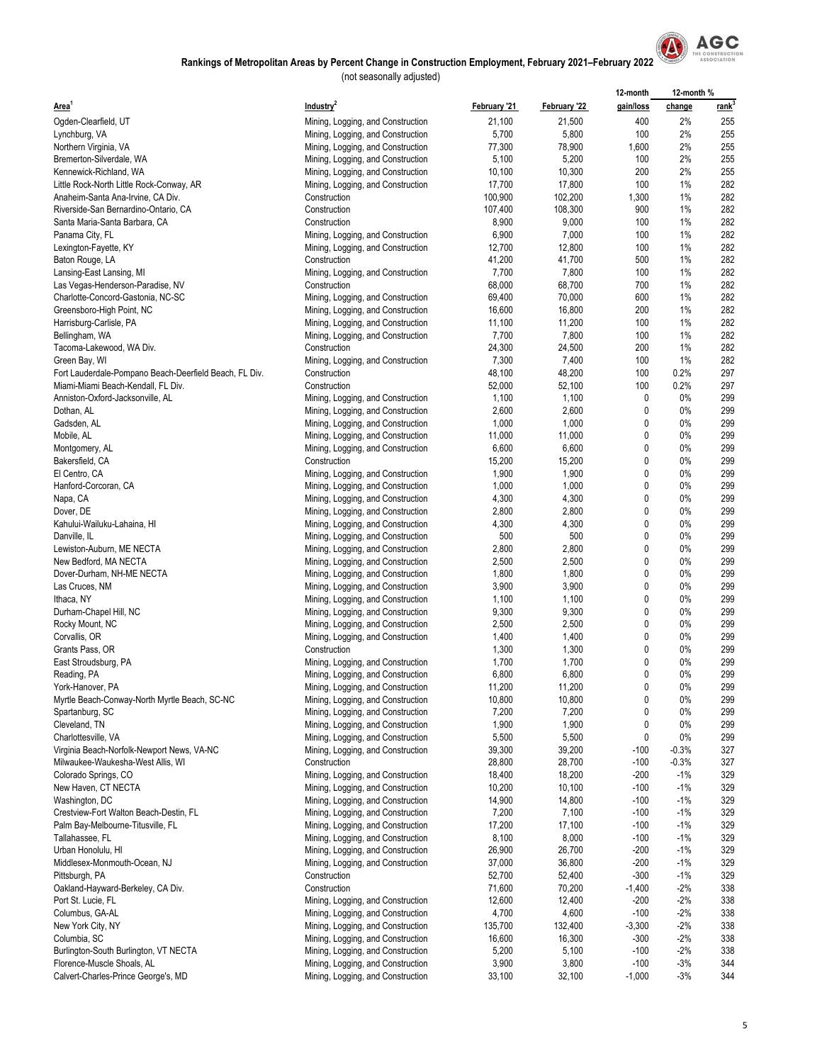

|                                                                                              |                                                                        |                  |                  | 12-month           | 12-month%      |                   |
|----------------------------------------------------------------------------------------------|------------------------------------------------------------------------|------------------|------------------|--------------------|----------------|-------------------|
| Area <sup>1</sup>                                                                            | Industry <sup>2</sup>                                                  | February '21     | February '22     | gain/loss          | change         | rank <sup>3</sup> |
| Ogden-Clearfield, UT                                                                         | Mining, Logging, and Construction                                      | 21,100           | 21,500           | 400                | 2%             | 255               |
| Lynchburg, VA                                                                                | Mining, Logging, and Construction                                      | 5,700            | 5,800            | 100                | 2%             | 255               |
| Northern Virginia, VA                                                                        | Mining, Logging, and Construction                                      | 77,300           | 78,900           | 1,600              | 2%             | 255               |
| Bremerton-Silverdale, WA                                                                     | Mining, Logging, and Construction                                      | 5,100            | 5,200            | 100                | 2%             | 255               |
| Kennewick-Richland, WA                                                                       | Mining, Logging, and Construction                                      | 10,100           | 10,300           | 200                | 2%             | 255               |
| Little Rock-North Little Rock-Conway, AR                                                     | Mining, Logging, and Construction                                      | 17,700           | 17,800           | 100                | 1%             | 282               |
| Anaheim-Santa Ana-Irvine, CA Div.                                                            | Construction                                                           | 100,900          | 102,200          | 1,300              | 1%             | 282               |
| Riverside-San Bernardino-Ontario, CA                                                         | Construction                                                           | 107,400          | 108,300          | 900                | 1%             | 282               |
| Santa Maria-Santa Barbara, CA                                                                | Construction                                                           | 8,900            | 9,000            | 100                | 1%             | 282               |
| Panama City, FL                                                                              | Mining, Logging, and Construction                                      | 6,900            | 7,000            | 100                | 1%             | 282               |
| Lexington-Fayette, KY                                                                        | Mining, Logging, and Construction                                      | 12,700           | 12,800           | 100                | 1%             | 282               |
| Baton Rouge, LA                                                                              | Construction                                                           | 41,200           | 41,700           | 500                | 1%             | 282               |
| Lansing-East Lansing, MI                                                                     | Mining, Logging, and Construction                                      | 7,700            | 7,800            | 100                | 1%             | 282               |
| Las Vegas-Henderson-Paradise, NV                                                             | Construction                                                           | 68,000           | 68,700           | 700                | 1%             | 282               |
| Charlotte-Concord-Gastonia, NC-SC                                                            | Mining, Logging, and Construction                                      | 69,400           | 70,000           | 600                | 1%             | 282               |
| Greensboro-High Point, NC                                                                    | Mining, Logging, and Construction                                      | 16,600           | 16,800           | 200                | 1%             | 282               |
| Harrisburg-Carlisle, PA                                                                      | Mining, Logging, and Construction                                      | 11,100           | 11,200           | 100                | 1%<br>1%       | 282<br>282        |
| Bellingham, WA                                                                               | Mining, Logging, and Construction                                      | 7,700            | 7,800            | 100                |                | 282               |
| Tacoma-Lakewood, WA Div.                                                                     | Construction                                                           | 24,300           | 24,500           | 200<br>100         | 1%<br>1%       | 282               |
| Green Bay, WI                                                                                | Mining, Logging, and Construction                                      | 7,300            | 7,400            | 100                | 0.2%           | 297               |
| Fort Lauderdale-Pompano Beach-Deerfield Beach, FL Div.<br>Miami-Miami Beach-Kendall, FL Div. | Construction<br>Construction                                           | 48,100<br>52,000 | 48,200<br>52,100 | 100                | 0.2%           | 297               |
|                                                                                              |                                                                        |                  |                  | $\pmb{0}$          | $0\%$          | 299               |
| Anniston-Oxford-Jacksonville, AL                                                             | Mining, Logging, and Construction<br>Mining, Logging, and Construction | 1,100<br>2,600   | 1,100<br>2,600   | 0                  | $0\%$          | 299               |
| Dothan, AL<br>Gadsden, AL                                                                    | Mining, Logging, and Construction                                      | 1,000            | 1,000            | 0                  | 0%             | 299               |
| Mobile, AL                                                                                   |                                                                        | 11,000           | 11,000           | $\mathbf{0}$       | 0%             | 299               |
| Montgomery, AL                                                                               | Mining, Logging, and Construction<br>Mining, Logging, and Construction | 6,600            | 6,600            | $\pmb{0}$          | 0%             | 299               |
| Bakersfield, CA                                                                              | Construction                                                           | 15,200           | 15,200           | 0                  | $0\%$          | 299               |
| El Centro, CA                                                                                | Mining, Logging, and Construction                                      | 1,900            | 1,900            | 0                  | $0\%$          | 299               |
| Hanford-Corcoran, CA                                                                         | Mining, Logging, and Construction                                      | 1,000            | 1,000            | 0                  | 0%             | 299               |
| Napa, CA                                                                                     | Mining, Logging, and Construction                                      | 4,300            | 4,300            | $\pmb{0}$          | 0%             | 299               |
| Dover, DE                                                                                    | Mining, Logging, and Construction                                      | 2,800            | 2,800            | 0                  | $0\%$          | 299               |
| Kahului-Wailuku-Lahaina, HI                                                                  | Mining, Logging, and Construction                                      | 4,300            | 4,300            | 0                  | 0%             | 299               |
| Danville, IL                                                                                 | Mining, Logging, and Construction                                      | 500              | 500              | $\mathbf{0}$       | 0%             | 299               |
| Lewiston-Auburn, ME NECTA                                                                    | Mining, Logging, and Construction                                      | 2,800            | 2,800            | $\mathbf{0}$       | 0%             | 299               |
| New Bedford, MA NECTA                                                                        | Mining, Logging, and Construction                                      | 2,500            | 2,500            | 0                  | 0%             | 299               |
| Dover-Durham, NH-ME NECTA                                                                    | Mining, Logging, and Construction                                      | 1,800            | 1,800            | 0                  | $0\%$          | 299               |
| Las Cruces, NM                                                                               | Mining, Logging, and Construction                                      | 3,900            | 3,900            | 0                  | 0%             | 299               |
| Ithaca, NY                                                                                   | Mining, Logging, and Construction                                      | 1,100            | 1,100            | 0                  | 0%             | 299               |
| Durham-Chapel Hill, NC                                                                       | Mining, Logging, and Construction                                      | 9,300            | 9,300            | $\pmb{0}$          | $0\%$          | 299               |
| Rocky Mount, NC                                                                              | Mining, Logging, and Construction                                      | 2,500            | 2,500            | 0                  | $0\%$          | 299               |
| Corvallis, OR                                                                                | Mining, Logging, and Construction                                      | 1,400            | 1,400            | 0                  | $0\%$          | 299               |
| Grants Pass, OR                                                                              | Construction                                                           | 1,300            | 1,300            | $\mathbf{0}$       | 0%             | 299               |
| East Stroudsburg, PA                                                                         | Mining, Logging, and Construction                                      | 1,700            | 1,700            | 0                  | $0\%$          | 299               |
| Reading, PA                                                                                  | Mining, Logging, and Construction                                      | 6,800            | 6,800            | 0                  | 0%             | 299               |
| York-Hanover, PA                                                                             | Mining, Logging, and Construction                                      | 11,200           | 11,200           | 0                  | 0%             | 299               |
| Myrtle Beach-Conway-North Myrtle Beach, SC-NC                                                | Mining, Logging, and Construction                                      | 10,800           | 10,800           | $\pmb{0}$          | 0%             | 299               |
| Spartanburg, SC                                                                              | Mining, Logging, and Construction                                      | 7,200            | 7,200            | $\mathbf 0$        | 0%             | 299               |
| Cleveland, TN                                                                                | Mining, Logging, and Construction                                      | 1,900            | 1,900            | 0                  | 0%             | 299               |
| Charlottesville, VA                                                                          | Mining, Logging, and Construction                                      | 5,500            | 5,500            | 0                  | 0%             | 299               |
| Virginia Beach-Norfolk-Newport News, VA-NC                                                   | Mining, Logging, and Construction                                      | 39,300           | 39,200           | $-100$             | $-0.3%$        | 327               |
| Milwaukee-Waukesha-West Allis, WI                                                            | Construction                                                           | 28,800           | 28,700           | $-100$             | $-0.3%$        | 327               |
| Colorado Springs, CO                                                                         | Mining, Logging, and Construction                                      | 18,400           | 18,200           | $-200$             | $-1%$          | 329               |
| New Haven, CT NECTA                                                                          | Mining, Logging, and Construction                                      | 10,200           | 10,100           | $-100$             | $-1%$          | 329               |
| Washington, DC                                                                               | Mining, Logging, and Construction                                      | 14,900           | 14,800           | $-100$             | $-1%$          | 329               |
| Crestview-Fort Walton Beach-Destin, FL                                                       | Mining, Logging, and Construction                                      | 7,200            | 7,100            | $-100$             | $-1%$          | 329               |
| Palm Bay-Melbourne-Titusville, FL                                                            | Mining, Logging, and Construction                                      | 17,200           | 17,100           | $-100$             | $-1%$          | 329               |
| Tallahassee, FL                                                                              | Mining, Logging, and Construction                                      | 8,100            | 8,000            | $-100$             | $-1%$          | 329               |
| Urban Honolulu, HI<br>Middlesex-Monmouth-Ocean, NJ                                           | Mining, Logging, and Construction                                      | 26,900<br>37,000 | 26,700<br>36,800 | $-200$<br>$-200$   | $-1%$<br>$-1%$ | 329<br>329        |
| Pittsburgh, PA                                                                               | Mining, Logging, and Construction<br>Construction                      | 52,700           |                  | $-300$             | $-1%$          | 329               |
|                                                                                              |                                                                        | 71,600           | 52,400<br>70,200 |                    | $-2%$          | 338               |
| Oakland-Hayward-Berkeley, CA Div.<br>Port St. Lucie, FL                                      | Construction<br>Mining, Logging, and Construction                      | 12,600           | 12,400           | $-1,400$<br>$-200$ | $-2%$          | 338               |
| Columbus, GA-AL                                                                              | Mining, Logging, and Construction                                      | 4,700            | 4,600            | $-100$             | $-2%$          | 338               |
| New York City, NY                                                                            | Mining, Logging, and Construction                                      | 135,700          | 132,400          | $-3,300$           | $-2%$          | 338               |
| Columbia, SC                                                                                 | Mining, Logging, and Construction                                      | 16,600           | 16,300           | $-300$             | $-2%$          | 338               |
| Burlington-South Burlington, VT NECTA                                                        | Mining, Logging, and Construction                                      | 5,200            | 5,100            | $-100$             | $-2%$          | 338               |
| Florence-Muscle Shoals, AL                                                                   | Mining, Logging, and Construction                                      | 3,900            | 3,800            | $-100$             | $-3%$          | 344               |
| Calvert-Charles-Prince George's, MD                                                          | Mining, Logging, and Construction                                      | 33,100           | 32,100           | $-1,000$           | -3%            | 344               |
|                                                                                              |                                                                        |                  |                  |                    |                |                   |